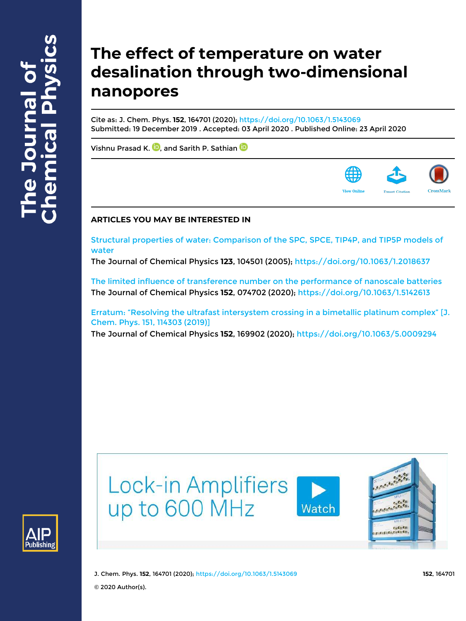# **The effect of temperature on water desalination through two-dimensional nanopores**

Cite as: J. Chem. Phys. **152**, 164701 (2020); https://doi.org/10.1063/1.5143069 Submitted: 19 December 2019 . Accepted: 03 April 2020 . Published Online: 23 April 2020

Vishnu Prasad K.  $\blacksquare$  and Sarith P. Sathian  $\blacksquare$ 



# **ARTICLES YOU MAY BE INTERESTED IN**

Structural properties of water: Comparison of the SPC, SPCE, TIP4P, and TIP5P models of water

The Journal of Chemical Physics **123**, 104501 (2005); https://doi.org/10.1063/1.2018637

The limited influence of transference number on the performance of nanoscale batteries The Journal of Chemical Physics **152**, 074702 (2020); https://doi.org/10.1063/1.5142613

Erratum: "Resolving the ultrafast intersystem crossing in a bimetallic platinum complex" [J. Chem. Phys. 151, 114303 (2019)] The Journal of Chemical Physics **152**, 169902 (2020); https://doi.org/10.1063/5.0009294





J. Chem. Phys. **152**, 164701 (2020); https://doi.org/10.1063/1.5143069 **152**, 164701 © 2020 Author(s).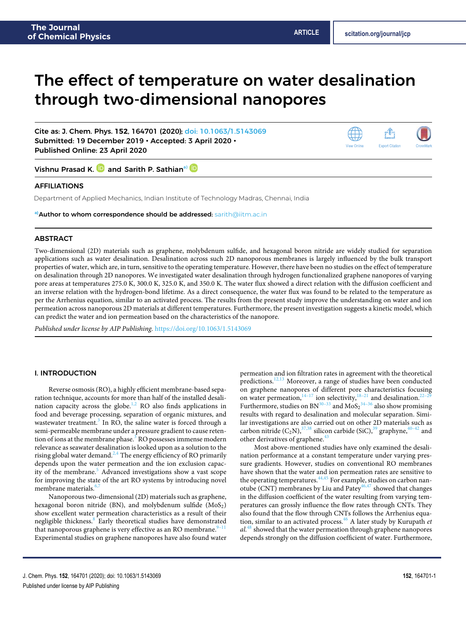# The effect of temperature on water desalination through two-dimensional nanopores

Cite as: J. Chem. Phys. **152**, 164701 (2020); doi: 10.1063/1.5143069 Submitted: 19 December 2019 • Accepted: 3 April 2020 • Published Online: 23 April 2020



Vishnu Prasad K. **D** and Sarith P. Sathian<sup>a)</sup> D

### AFFILIATIONS

Department of Applied Mechanics, Indian Institute of Technology Madras, Chennai, India

**a)**Author to whom correspondence should be addressed: sarith@iitm.ac.in

#### ABSTRACT

Two-dimensional (2D) materials such as graphene, molybdenum sulfide, and hexagonal boron nitride are widely studied for separation applications such as water desalination. Desalination across such 2D nanoporous membranes is largely influenced by the bulk transport properties of water, which are, in turn, sensitive to the operating temperature. However, there have been no studies on the effect of temperature on desalination through 2D nanopores. We investigated water desalination through hydrogen functionalized graphene nanopores of varying pore areas at temperatures 275.0 K, 300.0 K, 325.0 K, and 350.0 K. The water flux showed a direct relation with the diffusion coefficient and an inverse relation with the hydrogen-bond lifetime. As a direct consequence, the water flux was found to be related to the temperature as per the Arrhenius equation, similar to an activated process. The results from the present study improve the understanding on water and ion permeation across nanoporous 2D materials at different temperatures. Furthermore, the present investigation suggests a kinetic model, which can predict the water and ion permeation based on the characteristics of the nanopore.

Published under license by AIP Publishing. https://doi.org/10.1063/1.5143069.

### I. INTRODUCTION

Reverse osmosis (RO), a highly efficient membrane-based separation technique, accounts for more than half of the installed desalination capacity across the globe. $1,2$  RO also finds applications in food and beverage processing, separation of organic mixtures, and wastewater treatment.<sup>3</sup> In RO, the saline water is forced through a semi-permeable membrane under a pressure gradient to cause retention of ions at the membrane phase.<sup>3</sup> RO possesses immense modern relevance as seawater desalination is looked upon as a solution to the rising global water demand.<sup>2,4</sup> The energy efficiency of RO primarily depends upon the water permeation and the ion exclusion capacity of the membrane.<sup>5</sup> Advanced investigations show a vast scope for improving the state of the art RO systems by introducing novel membrane materials.<sup>6</sup>

Nanoporous two-dimensional (2D) materials such as graphene, hexagonal boron nitride (BN), and molybdenum sulfide  $(MoS<sub>2</sub>)$ show excellent water permeation characteristics as a result of their negligible thickness.<sup>8</sup> Early theoretical studies have demonstrated that nanoporous graphene is very effective as an RO membrane.<sup>9</sup> Experimental studies on graphene nanopores have also found water

permeation and ion filtration rates in agreement with the theoretical predictions.<sup>12,13</sup> Moreover, a range of studies have been conducted on graphene nanopores of different pore characteristics focusing on water permeation,  $14-17$  ion selectivity,  $18-21$  and desalination.  $22-29$ Furthermore, studies on  $BN^{30-33}$  and  $MoS<sub>2</sub><sup>34-36</sup>$  also show promising results with regard to desalination and molecular separation. Similar investigations are also carried out on other 2D materials such as carbon nitride  $(C_2N)$ ,<sup>37,38</sup> silicon carbide (SiC),<sup>39</sup> graphyne,<sup>40–42</sup> and other derivatives of graphene.<sup>4</sup>

Most above-mentioned studies have only examined the desalination performance at a constant temperature under varying pressure gradients. However, studies on conventional RO membranes have shown that the water and ion permeation rates are sensitive to the operating temperatures.<sup>44,45</sup> For example, studies on carbon nanotube (CNT) membranes by Liu and Patey $46,47$  showed that changes in the diffusion coefficient of the water resulting from varying temperatures can grossly influence the flow rates through CNTs. They also found that the flow through CNTs follows the Arrhenius equation, similar to an activated process. $46$  A later study by Kurupath et  $al<sup>48</sup>$  showed that the water permeation through graphene nanopores depends strongly on the diffusion coefficient of water. Furthermore,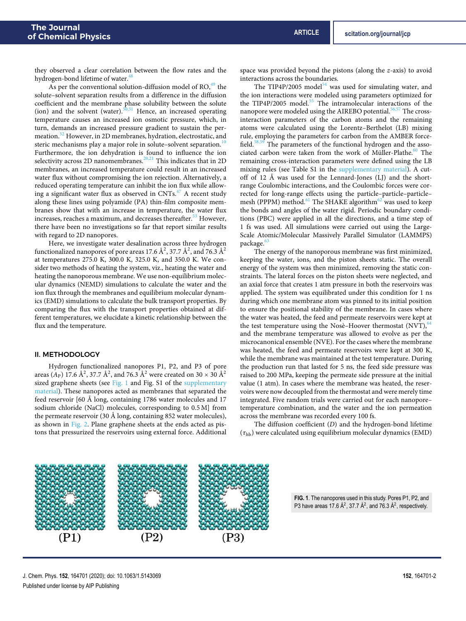they observed a clear correlation between the flow rates and the hydrogen-bond lifetime of water.<sup>41</sup>

As per the conventional solution-diffusion model of  $RO<sub>149</sub>$  the solute–solvent separation results from a difference in the diffusion coefficient and the membrane phase solubility between the solute (ion) and the solvent (water).<sup>50,51</sup> Hence, an increased operating temperature causes an increased ion osmotic pressure, which, in turn, demands an increased pressure gradient to sustain the permeation.<sup>52</sup> However, in 2D membranes, hydration, electrostatic, and steric mechanisms play a major role in solute–solvent separation.<sup>1</sup> Furthermore, the ion dehydration is found to influence the ion selectivity across 2D nanomembranes.<sup>20,21</sup> This indicates that in 2D membranes, an increased temperature could result in an increased water flux without compromising the ion rejection. Alternatively, a reduced operating temperature can inhibit the ion flux while allowing a significant water flux as observed in CNTs.<sup>47</sup> A recent study along these lines using polyamide (PA) thin-film composite membranes show that with an increase in temperature, the water flux increases, reaches a maximum, and decreases thereafter.<sup>53</sup> However, there have been no investigations so far that report similar results with regard to 2D nanopores.

Here, we investigate water desalination across three hydrogen functionalized nanopores of pore areas 17.6  $\AA^2$ , 37.7  $\AA^2$ , and 76.3  $\AA^2$ at temperatures 275.0 K, 300.0 K, 325.0 K, and 350.0 K. We consider two methods of heating the system, viz., heating the water and heating the nanoporous membrane. We use non-equilibrium molecular dynamics (NEMD) simulations to calculate the water and the ion flux through the membranes and equilibrium molecular dynamics (EMD) simulations to calculate the bulk transport properties. By comparing the flux with the transport properties obtained at different temperatures, we elucidate a kinetic relationship between the flux and the temperature.

#### II. METHODOLOGY

Hydrogen functionalized nanopores P1, P2, and P3 of pore areas  $(A_P)$  17.6  $\AA^2$ , 37.7  $\AA^2$ , and 76.3  $\AA^2$  were created on 30  $\times$  30  $\AA^2$ sized graphene sheets (see Fig. 1 and Fig. S1 of the supplementary material). These nanopores acted as membranes that separated the feed reservoir [60 Å long, containing 1786 water molecules and 17 sodium chloride (NaCl) molecules, corresponding to 0.5 M] from the permeate reservoir (30 Å long, containing 852 water molecules), as shown in Fig. 2. Plane graphene sheets at the ends acted as pistons that pressurized the reservoirs using external force. Additional

space was provided beyond the pistons (along the z-axis) to avoid interactions across the boundaries.

The TIP4P/2005 model<sup>54</sup> was used for simulating water, and the ion interactions were modeled using parameters optimized for the TIP4P/2005 model.<sup>55</sup> The intramolecular interactions of the nanopore were modeled using the AIREBO potential.  $\mathrm{^{56,57}}$  The crossinteraction parameters of the carbon atoms and the remaining atoms were calculated using the Lorentz–Berthelot (LB) mixing rule, employing the parameters for carbon from the AMBER forcefield.<sup>58,59</sup> The parameters of the functional hydrogen and the associated carbon were taken from the work of Müller-Plathe.<sup>60</sup> The remaining cross-interaction parameters were defined using the LB mixing rules (see Table S1 in the supplementary material). A cutoff of 12 Å was used for the Lennard-Jones (LJ) and the shortrange Coulombic interactions, and the Coulombic forces were corrected for long-range effects using the particle–particle–particle– mesh (PPPM) method.<sup>61</sup> The SHAKE algorithm<sup>62</sup> was used to keep the bonds and angles of the water rigid. Periodic boundary conditions (PBC) were applied in all the directions, and a time step of 1 fs was used. All simulations were carried out using the Large-Scale Atomic/Molecular Massively Parallel Simulator (LAMMPS) package.<sup>6</sup>

The energy of the nanoporous membrane was first minimized, keeping the water, ions, and the piston sheets static. The overall energy of the system was then minimized, removing the static constraints. The lateral forces on the piston sheets were neglected, and an axial force that creates 1 atm pressure in both the reservoirs was applied. The system was equilibrated under this condition for 1 ns during which one membrane atom was pinned to its initial position to ensure the positional stability of the membrane. In cases where the water was heated, the feed and permeate reservoirs were kept at the test temperature using the Nosè–Hoover thermostat  $(NVT)$ ,<sup>64</sup> and the membrane temperature was allowed to evolve as per the microcanonical ensemble (NVE). For the cases where the membrane was heated, the feed and permeate reservoirs were kept at 300 K, while the membrane was maintained at the test temperature. During the production run that lasted for 5 ns, the feed side pressure was raised to 200 MPa, keeping the permeate side pressure at the initial value (1 atm). In cases where the membrane was heated, the reservoirs were now decoupled from the thermostat and were merely time integrated. Five random trials were carried out for each nanopore– temperature combination, and the water and the ion permeation across the membrane was recorded every 100 fs.

The diffusion coefficient (D) and the hydrogen-bond lifetime (*τ*hb) were calculated using equilibrium molecular dynamics (EMD)



**FIG. 1**. The nanopores used in this study. Pores P1, P2, and P3 have areas 17.6  $\AA^2$ , 37.7  $\AA^2$ , and 76.3  $\AA^2$ , respectively.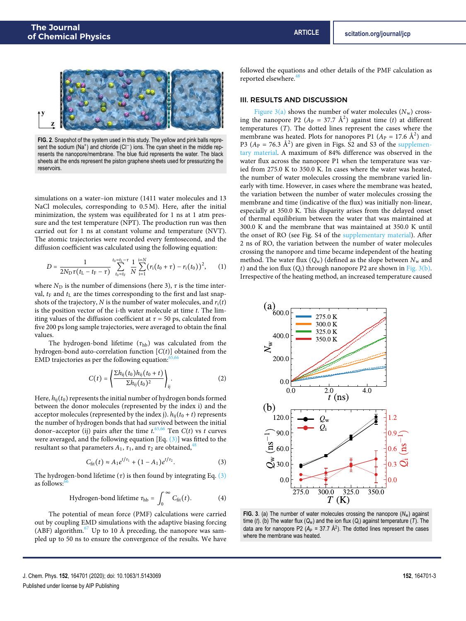

**FIG. 2**. Snapshot of the system used in this study. The yellow and pink balls represent the sodium (Na<sup>+</sup>) and chloride (Cl<sup>−</sup>) ions. The cyan sheet in the middle represents the nanopore/membrane. The blue fluid represents the water. The black sheets at the ends represent the piston graphene sheets used for pressurizing the reservoirs.

simulations on a water–ion mixture (1411 water molecules and 13 NaCl molecules, corresponding to 0.5 M). Here, after the initial minimization, the system was equilibrated for 1 ns at 1 atm pressure and the test temperature (NPT). The production run was then carried out for 1 ns at constant volume and temperature (NVT). The atomic trajectories were recorded every femtosecond, and the diffusion coefficient was calculated using the following equation:

$$
D = \frac{1}{2N_{\rm D}\tau(t_{\rm L}-t_{\rm F}-\tau)}\sum_{t_{\rm 0}=t_{\rm F}}^{t_{\rm 0}=t_{\rm L}-\tau}\frac{1}{N}\sum_{\rm i=1}^{\rm i=N}(r_{\rm i}\big(t_{\rm 0}+\tau\big)-r_{\rm i}\big(t_{\rm 0}\big)\big)^2,\qquad (1)
$$

where  $N_D$  is the number of dimensions (here 3),  $\tau$  is the time interval,  $t_F$  and  $t_L$  are the times corresponding to the first and last snapshots of the trajectory, N is the number of water molecules, and  $r_i(t)$ is the position vector of the i-th water molecule at time  $t$ . The limiting values of the diffusion coefficient at  $\tau$  = 50 ps, calculated from five 200 ps long sample trajectories, were averaged to obtain the final values.

The hydrogen-bond lifetime  $(\tau_{hb})$  was calculated from the hydrogen-bond auto-correlation function  $[C(t)]$  obtained from the EMD trajectories as per the following equation:

$$
C(t) = \left\{ \frac{\sum h_{ij}(t_0)h_{ij}(t_0 + t)}{\sum h_{ij}(t_0)^2} \right\}_{ij}.
$$
 (2)

Here,  $h_{ij}(t_0)$  represents the initial number of hydrogen bonds formed between the donor molecules (represented by the index i) and the acceptor molecules (represented by the index j).  $h_{ij}(t_0 + t)$  represents the number of hydrogen bonds that had survived between the initial donor-acceptor (ij) pairs after the time  $t^{65,66}$  Ten  $C(t)$  vs t curves were averaged, and the following equation [Eq.  $(3)$ ] was fitted to the resultant so that parameters  $A_1$ ,  $\tau_1$ , and  $\tau_2$  are obtained,<sup>4</sup>

$$
C_{\rm fit}(t) \approx A_1 e^{t/\tau_1} + (1 - A_1) e^{t/\tau_2}.
$$
 (3)

The hydrogen-bond lifetime  $(\tau)$  is then found by integrating Eq.  $(3)$ as follows: $6$ 

Hydrogen-bond lifetime 
$$
\tau_{\text{hb}} = \int_0^\infty C_{\text{fit}}(t)
$$
. (4)

The potential of mean force (PMF) calculations were carried out by coupling EMD simulations with the adaptive biasing forcing (ABF) algorithm. $67$  Up to 10 Å preceding, the nanopore was sampled up to 50 ns to ensure the convergence of the results. We have

followed the equations and other details of the PMF calculation as reported elsewhere.<sup>4</sup>

#### III. RESULTS AND DISCUSSION

Figure  $3(a)$  shows the number of water molecules  $(N_w)$  crossing the nanopore P2 ( $A_P = 37.7 \text{ Å}^2$ ) against time (t) at different temperatures (T). The dotted lines represent the cases where the membrane was heated. Plots for nanopores P1 ( $A<sub>P</sub> = 17.6$   $\AA$ <sup>2</sup>) and P3 ( $A_P$  = 76.3 Å<sup>2</sup>) are given in Figs. S<sub>2</sub> and S3 of the supplementary material. A maximum of 84% difference was observed in the water flux across the nanopore P1 when the temperature was varied from 275.0 K to 350.0 K. In cases where the water was heated, the number of water molecules crossing the membrane varied linearly with time. However, in cases where the membrane was heated, the variation between the number of water molecules crossing the membrane and time (indicative of the flux) was initially non-linear, especially at 350.0 K. This disparity arises from the delayed onset of thermal equilibrium between the water that was maintained at 300.0 K and the membrane that was maintained at 350.0 K until the onset of RO (see Fig. S4 of the supplementary material). After 2 ns of RO, the variation between the number of water molecules crossing the nanopore and time became independent of the heating method. The water flux  $(Q_w)$  (defined as the slope between  $N_w$  and t) and the ion flux  $(Q_i)$  through nanopore P2 are shown in Fig. 3(b). Irrespective of the heating method, an increased temperature caused



**FIG. 3**. (a) The number of water molecules crossing the nanopore (*N*w) against time (*t*). (b) The water flux (*Q*w) and the ion flux (*Q*<sup>i</sup> ) against temperature (*T*). The data are for nanopore P2 ( $A_P$  = 37.7  $\AA^2$ ). The dotted lines represent the cases where the membrane was heated.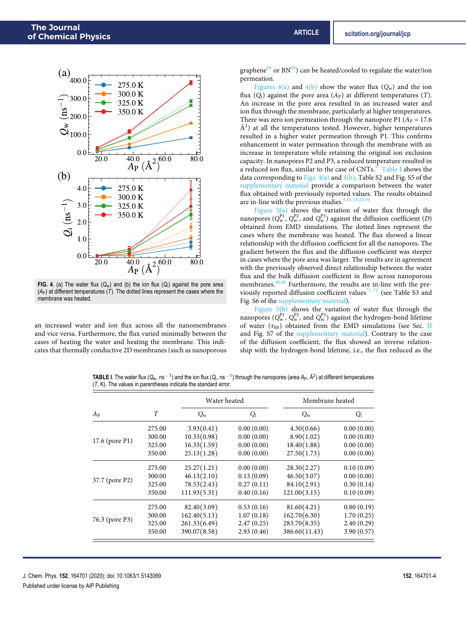

**FIG. 4**. (a) The water flux (*Q*w) and (b) the ion flux (*Q*<sup>i</sup> ) against the pore area  $(A_P)$  at different temperatures  $(T)$ . The dotted lines represent the cases where the membrane was heated.

an increased water and ion flux across all the nanomembranes and vice versa. Furthermore, the flux varied minimally between the cases of heating the water and heating the membrane. This indicates that thermally conductive 2D membranes (such as nanoporous graphene<sup>68</sup> or  $BN^{69}$ ) can be heated/cooled to regulate the water/ion permeation.

Figures  $4(a)$  and  $4(b)$  show the water flux  $(Q_w)$  and the ion flux  $(Q_i)$  against the pore area  $(A_P)$  at different temperatures  $(T)$ . An increase in the pore area resulted in an increased water and ion flux through the membrane, particularly at higher temperatures. There was zero ion permeation through the nanopore P1 ( $A<sub>P</sub> = 17.6$ )  $\AA^2$ ) at all the temperatures tested. However, higher temperatures resulted in a higher water permeation through P1. This confirms enhancement in water permeation through the membrane with an increase in temperature while retaining the original ion exclusion capacity. In nanopores P2 and P3, a reduced temperature resulted in a reduced ion flux, similar to the case of  $CNTs.<sup>47</sup>$  Table I shows the data corresponding to Figs.  $4(a)$  and  $4(b)$ . Table S2 and Fig. S5 of the supplementary material provide a comparison between the water flux obtained with previously reported values. The results obtained are in-line with the previous studies.<sup>9</sup>

Figure  $5(a)$  shows the variation of water flux through the nanopores ( $Q_w^{p_1}$ ,  $Q_w^{p_2}$ , and  $Q_w^{p_3}$ ) against the diffusion coefficient (D) obtained from EMD simulations. The dotted lines represent the cases where the membrane was heated. The flux showed a linear relationship with the diffusion coefficient for all the nanopores. The gradient between the flux and the diffusion coefficient was steeper in cases where the pore area was larger. The results are in agreement with the previously observed direct relationship between the water flux and the bulk diffusion coefficient in flow across nanoporous membranes.<sup>46,48</sup> Furthermore, the results are in-line with the previously reported diffusion coefficient values $71-75$  (see Table S3 and Fig. S6 of the supplementary material).

Figure  $5(b)$  shows the variation of water flux through the nanopores ( $Q_{\rm w}^{\rm P1}$ ,  $Q_{\rm w}^{\rm P2}$ , and  $Q_{\rm w}^{\rm P3}$ ) against the hydrogen-bond lifetime of water (*τ*hb) obtained from the EMD simulations (see Sec. II and Fig. S7 of the supplementary material). Contrary to the case of the diffusion coefficient, the flux showed an inverse relationship with the hydrogen-bond lifetime, i.e., the flux reduced as the

TABLE I. The water flux (Q<sub>w</sub>, ns<sup>−1</sup>) and the ion flux (Q<sub>i</sub>, ns<sup>−1</sup>) through the nanopores (area A<sub>P</sub>, Å<sup>2</sup>) at different temperatures (*T*, K). The values in parentheses indicate the standard error.

|                |        | Water heated |            | Membrane heated |            |  |
|----------------|--------|--------------|------------|-----------------|------------|--|
| $A_{P}$        | T      | $Q_{\rm w}$  | $Q_i$      | $Q_{\rm w}$     | $Q_i$      |  |
|                | 275.00 | 3.93(0.41)   | 0.00(0.00) | 4.30(0.66)      | 0.00(0.00) |  |
|                | 300.00 | 10.33(0.98)  | 0.00(0.00) | 8.90(1.02)      | 0.00(0.00) |  |
| 17.6 (pore P1) | 325.00 | 16.33(1.59)  | 0.00(0.00) | 18.40(1.88)     | 0.00(0.00) |  |
|                | 350.00 | 25.13(1.28)  | 0.00(0.00) | 27.50(1.73)     | 0.00(0.00) |  |
|                | 275.00 | 25.27(1.21)  | 0.00(0.00) | 28.30(2.27)     | 0.10(0.09) |  |
|                | 300.00 | 46.13(2.10)  | 0.13(0.09) | 46.50(3.07)     | 0.00(0.00) |  |
| 37.7 (pore P2) | 325.00 | 78.53(2.43)  | 0.27(0.11) | 84.10(2.91)     | 0.30(0.14) |  |
|                | 350.00 | 111.93(5.31) | 0.40(0.16) | 121.00(3.15)    | 0.10(0.09) |  |
|                | 275.00 | 82.40(3.09)  | 0.53(0.16) | 81.60(4.21)     | 0.80(0.19) |  |
|                | 300.00 | 162.40(5.13) | 1.07(0.18) | 162.70(6.30)    | 1.70(0.25) |  |
| 76.3 (pore P3) | 325.00 | 261.33(6.49) | 2.47(0.25) | 283.70(8.35)    | 2.40(0.29) |  |
|                | 350.00 | 390.07(8.58) | 2.93(0.46) | 386.60(11.43)   | 3.90(0.57) |  |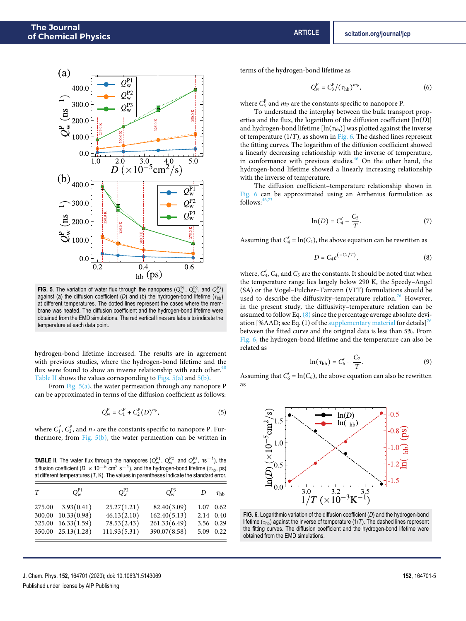

**FIG.** 5. The variation of water flux through the nanopores  $(Q_w^{p_1}, Q_w^{p_2},$  and  $Q_w^{p_3}$ ) against (a) the diffusion coefficient (*D*) and (b) the hydrogen-bond lifetime (*τ*hb) at different temperatures. The dotted lines represent the cases where the membrane was heated. The diffusion coefficient and the hydrogen-bond lifetime were obtained from the EMD simulations. The red vertical lines are labels to indicate the temperature at each data point.

hydrogen-bond lifetime increased. The results are in agreement with previous studies, where the hydrogen-bond lifetime and the flux were found to show an inverse relationship with each other. $48$ Table II shows the values corresponding to Figs.  $5(a)$  and  $5(b)$ .

From Fig. 5(a), the water permeation through any nanopore P can be approximated in terms of the diffusion coefficient as follows:

$$
Q_{\rm w}^{\rm P} = C_1^{\rm P} + C_2^{\rm P} (D)^{n_{\rm P}}, \tag{5}
$$

where  $C_1^P$ ,  $C_2^P$ , and  $n_P$  are the constants specific to nanopore P. Furthermore, from Fig.  $5(b)$ , the water permeation can be written in

**TABLE II**. The water flux through the nanopores  $(Q_w^{\text{p}_1}, Q_w^{\text{p}_2}, \text{ and } Q_w^{\text{p}_3}, \text{ns}^{-1})$ , the diffusion coefficient ( $D \times 10^{-5}$  cm<sup>2</sup> s<sup>-1</sup>), and the hydrogen-bond lifetime ( $\tau_{\text{hb}}$ , ps) at different temperatures (*T*, K). The values in parentheses indicate the standard error.

| T | $O_{\rm w}^{\rm P1}$  | $Q_{\rm w}^{\rm P2}$ | $Q_{\rm w}^{\rm P3}$ | D         | $\tau_{\rm hb}$ |
|---|-----------------------|----------------------|----------------------|-----------|-----------------|
|   | $275.00$ $3.93(0.41)$ | 25.27(1.21)          | 82.40(3.09)          |           | 1.07 0.62       |
|   | 300.00 10.33(0.98)    | 46.13(2.10)          | 162.40(5.13)         | 2.14 0.40 |                 |
|   | 325.00 16.33(1.59)    | 78.53(2.43)          | 261.33(6.49)         | 3.56 0.29 |                 |
|   | 350.00 25.13(1.28)    | 111.93(5.31)         | 390.07(8.58)         |           | 5.09 0.22       |

terms of the hydrogen-bond lifetime as

$$
Q_w^P = C_3^P / (\tau_{hb})^{m_P}, \qquad (6)
$$

where  $C_3^{\rm P}$  and  $m_{\rm P}$  are the constants specific to nanopore P.

To understand the interplay between the bulk transport properties and the flux, the logarithm of the diffusion coefficient  $[\ln(D)]$ and hydrogen-bond lifetime  $[\ln(\tau_{hb})]$  was plotted against the inverse of temperature  $(1/T)$ , as shown in Fig. 6. The dashed lines represent the fitting curves. The logarithm of the diffusion coefficient showed a linearly decreasing relationship with the inverse of temperature, in conformance with previous studies. $46$  On the other hand, the hydrogen-bond lifetime showed a linearly increasing relationship with the inverse of temperature.

The diffusion coefficient–temperature relationship shown in Fig. 6 can be approximated using an Arrhenius formulation as follows:  $46,7$ 

$$
\ln(D) = C_4' - \frac{C_5}{T}.\tag{7}
$$

Assuming that  $C_4' = \ln(C_4)$ , the above equation can be rewritten as

$$
D=C_4e^{(-C_5/T)},\t\t(8)
$$

where,  $C_4$ ,  $C_4$ , and  $C_5$  are the constants. It should be noted that when the temperature range lies largely below 290 K, the Speedy–Angel (SA) or the Vogel–Fulcher–Tamann (VFT) formulations should be used to describe the diffusivity-temperature relation.<sup>76</sup> However, in the present study, the diffusivity–temperature relation can be assumed to follow Eq. (8) since the percentage average absolute deviation [%AAD; see Eq. (1) of the supplementary material for details]<sup>76</sup> between the fitted curve and the original data is less than 5%. From Fig. 6, the hydrogen-bond lifetime and the temperature can also be related as

$$
\ln(\tau_{\rm hb}) = C'_6 + \frac{C_7}{T}.
$$
 (9)

Assuming that  $C'_6 = \ln(C_6)$ , the above equation can also be rewritten as



**FIG. 6**. Logarithmic variation of the diffusion coefficient (*D*) and the hydrogen-bond lifetime ( $\tau_{\text{hb}}$ ) against the inverse of temperature (1/*T*). The dashed lines represent the fitting curves. The diffusion coefficient and the hydrogen-bond lifetime were obtained from the EMD simulations.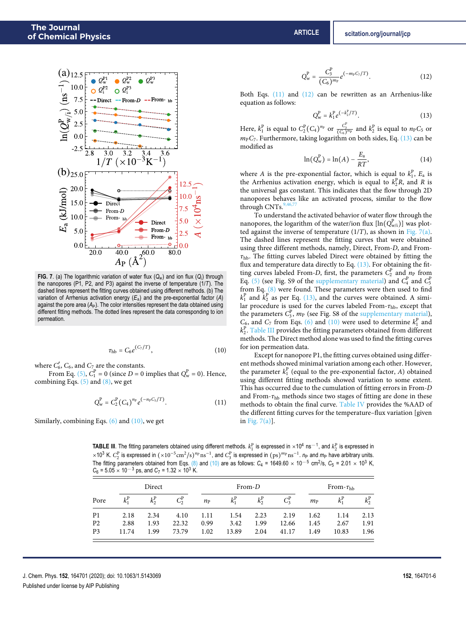

**FIG. 7**. (a) The logarithmic variation of water flux (*Q*w) and ion flux (*Q*<sup>i</sup> ) through the nanopores (P1, P2, and P3) against the inverse of temperature (1/*T*). The dashed lines represent the fitting curves obtained using different methods. (b) The variation of Arrhenius activation energy (*E*a) and the pre-exponential factor (*A*) against the pore area (A<sub>P</sub>). The color intensities represent the data obtained using different fitting methods. The dotted lines represent the data corresponding to ion permeation.

$$
\tau_{\rm hb} = C_6 e^{(C_7/T)},\tag{10}
$$

where  $C'_6$ ,  $C_6$ , and  $C_7$  are the constants.

From Eq. (5),  $C_1^P = 0$  (since  $D = 0$  implies that  $Q_w^P = 0$ ). Hence, combining Eqs.  $(5)$  and  $(8)$ , we get

$$
Q_{\rm w}^{\rm P} = C_2^{\rm P} (C_4)^{n_{\rm P}} e^{(-n_{\rm P} C_5/T)}.
$$
 (11)

Similarly, combining Eqs.  $(6)$  and  $(10)$ , we get

$$
Q_w^P = \frac{C_3^P}{(C_6)^{m_P}} e^{(-m_P C_7/T)}.
$$
 (12)

Both Eqs. (11) and (12) can be rewritten as an Arrhenius-like equation as follows:

$$
Q_w^P = k_1^P e^{(-k_2^P/T)}.
$$
 (13)

Here,  $k_1^{\text{p}}$  is equal to  $C_2^{\text{p}}(C_4)^{n_{\text{p}}}$  or  $\frac{C_3^{\text{p}}}{(C_6)^{m_{\text{p}}}}$  and  $k_2^{\text{p}}$  is equal to  $n_{\text{P}}C_5$  or  $m_P C_7$ . Furthermore, taking logarithm on both sides, Eq. (13) can be modified as

$$
\ln(Q_w^P) = \ln(A) - \frac{E_a}{RT},\tag{14}
$$

where A is the pre-exponential factor, which is equal to  $k_1^P$ ,  $E_a$  is the Arrhenius activation energy, which is equal to  $k_2^p R$ , and R is the universal gas constant. This indicates that the flow through 2D nanopores behaves like an activated process, similar to the flow through CNTs.<sup>9</sup>

To understand the activated behavior of water flow through the nanopores, the logarithm of the water/ion flux  $[\ln(Q_{\sf w/i}^{\rm P})]$  was plotted against the inverse of temperature  $(1/T)$ , as shown in Fig. 7(a). The dashed lines represent the fitting curves that were obtained using three different methods, namely, Direct, From-D, and From*τ*hb. The fitting curves labeled Direct were obtained by fitting the flux and temperature data directly to Eq.  $(13)$ . For obtaining the fitting curves labeled From-D, first, the parameters  $C_2^P$  and  $n_P$  from Eq. (5) (see Fig. S9 of the supplementary material) and  $C_4^P$  and  $C_5^P$ from Eq. (8) were found. These parameters were then used to find  $k_1^P$  and  $\hat{k}_2^P$  as per Eq. (13), and the curves were obtained. A similar procedure is used for the curves labeled From-*τ*hb, except that the parameters  $C_3^P$ ,  $m_P$  (see Fig. S8 of the supplementary material),  $C_6$ , and  $C_7$  from Eqs. (6) and (10) were used to determine  $k_1^P$  and  $k_{2}^{\mathrm{P}}$ . Table III provides the fitting parameters obtained from different methods. The Direct method alone was used to find the fitting curves for ion permeation data.

Except for nanopore P1, the fitting curves obtained using different methods showed minimal variation among each other. However, the parameter  $k_1^{\rm p}$  (equal to the pre-exponential factor, A) obtained using different fitting methods showed variation to some extent. This has occurred due to the cumulation of fitting errors in From-D and From-*τ*hb methods since two stages of fitting are done in these methods to obtain the final curve. Table IV provides the %AAD of the different fitting curves for the temperature–flux variation [given in Fig. 7(a)].

**TABLE III**. The fitting parameters obtained using different methods.  $k_1^P$  is expressed in ×10<sup>4</sup> ns<sup>-1</sup>, and  $k_2^P$  is expressed in ×10<sup>3</sup> K. C<sub>2</sub><sup>P</sup> is expressed in (×10<sup>-5</sup>cm<sup>2</sup>/s)<sup>np</sup> ns<sup>-1</sup>, and C<sub>3</sub><sup>P</sup> is expressed in (ps)<sup>mp</sup> ns<sup>-1</sup>. *n*<sub>P</sub> and *m*<sub>P</sub> have arbitrary units. The fitting parameters obtained from Eqs. (8) and (10) are as follows:  $C_4 = 1649.60 \times 10^{-5}$  cm<sup>2</sup>/s,  $C_5 = 2.01 \times 10^3$  K,  $C_6 = 5.05 \times 10^{-3}$  ps, and  $C_7 = 1.32 \times 10^3$  K.

| Direct         |               |               |         | $From-D$    |               |               |         | From- $\tau_{\rm hb}$ |       |               |
|----------------|---------------|---------------|---------|-------------|---------------|---------------|---------|-----------------------|-------|---------------|
| Pore           | $k_1^{\rm P}$ | $k_2^{\rm P}$ | $C_2^P$ | $n_{\rm P}$ | $k_1^{\rm P}$ | $k_2^{\rm P}$ | $C_3^P$ | $m_{\rm P}$           |       | $k_2^{\rm P}$ |
| P <sub>1</sub> | 2.18          | 2.34          | 4.10    | 1.11        | 1.54          | 2.23          | 2.19    | 1.62                  | 1.14  | 2.13          |
| P <sub>2</sub> | 2.88          | 1.93          | 22.32   | 0.99        | 3.42          | 1.99          | 12.66   | 1.45                  | 2.67  | 1.91          |
| P <sub>3</sub> | 11.74         | 1.99          | 73.79   | 1.02        | 13.89         | 2.04          | 41.17   | 1.49                  | 10.83 | 1.96          |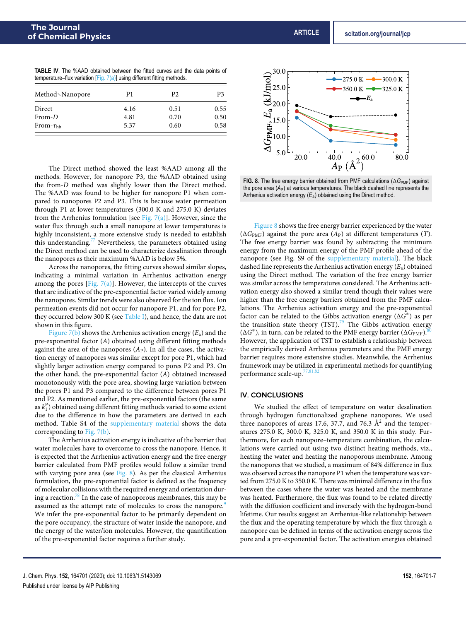| <b>TABLE IV.</b> The %AAD obtained between the fitted curves and the data points of |  |  |  |  |  |  |
|-------------------------------------------------------------------------------------|--|--|--|--|--|--|
| temperature–flux variation [Fig. $7(a)$ ] using different fitting methods.          |  |  |  |  |  |  |

| Method \Nanopore  | P1   | P <sub>2</sub> | P3   |  |
|-------------------|------|----------------|------|--|
| Direct            | 4.16 | 0.51           | 0.55 |  |
| From-D            | 4.81 | 0.70           | 0.50 |  |
| From- $\tau_{hh}$ | 5.37 | 0.60           | 0.58 |  |

The Direct method showed the least %AAD among all the methods. However, for nanopore P3, the %AAD obtained using the from-D method was slightly lower than the Direct method. The %AAD was found to be higher for nanopore P1 when compared to nanopores P2 and P3. This is because water permeation through P1 at lower temperatures (300.0 K and 275.0 K) deviates from the Arrhenius formulation [see Fig. 7(a)]. However, since the water flux through such a small nanopore at lower temperatures is highly inconsistent, a more extensive study is needed to establish this understanding.<sup>77</sup> Nevertheless, the parameters obtained using the Direct method can be used to characterize desalination through the nanopores as their maximum %AAD is below 5%.

Across the nanopores, the fitting curves showed similar slopes, indicating a minimal variation in Arrhenius activation energy among the pores [Fig.  $7(a)$ ]. However, the intercepts of the curves that are indicative of the pre-exponential factor varied widely among the nanopores. Similar trends were also observed for the ion flux. Ion permeation events did not occur for nanopore P1, and for pore P2, they occurred below 300 K (see Table I), and hence, the data are not shown in this figure.

Figure 7(b) shows the Arrhenius activation energy  $(E_a)$  and the pre-exponential factor (A) obtained using different fitting methods against the area of the nanopores  $(A<sub>P</sub>)$ . In all the cases, the activation energy of nanopores was similar except for pore P1, which had slightly larger activation energy compared to pores P2 and P3. On the other hand, the pre-exponential factor (A) obtained increased monotonously with the pore area, showing large variation between the pores P1 and P3 compared to the difference between pores P1 and P2. As mentioned earlier, the pre-exponential factors (the same as  $k_1^{\rm P}$ ) obtained using different fitting methods varied to some extent due to the difference in how the parameters are derived in each method. Table S4 of the supplementary material shows the data corresponding to Fig. 7(b).

The Arrhenius activation energy is indicative of the barrier that water molecules have to overcome to cross the nanopore. Hence, it is expected that the Arrhenius activation energy and the free energy barrier calculated from PMF profiles would follow a similar trend with varying pore area (see Fig. 8). As per the classical Arrhenius formulation, the pre-exponential factor is defined as the frequency of molecular collisions with the required energy and orientation during a reaction.<sup>78</sup> In the case of nanoporous membranes, this may be assumed as the attempt rate of molecules to cross the nanopore.<sup>9</sup> We infer the pre-exponential factor to be primarily dependent on the pore occupancy, the structure of water inside the nanopore, and the energy of the water/ion molecules. However, the quantification of the pre-exponential factor requires a further study.



**FIG. 8**. The free energy barrier obtained from PMF calculations (ΔG<sub>PMF</sub>) against the pore area  $(A_P)$  at various temperatures. The black dashed line represents the Arrhenius activation energy (*E*a) obtained using the Direct method.

Figure 8 shows the free energy barrier experienced by the water  $(\Delta G_{\text{PMF}})$  against the pore area  $(A_P)$  at different temperatures  $(T)$ . The free energy barrier was found by subtracting the minimum energy from the maximum energy of the PMF profile ahead of the nanopore (see Fig. S9 of the supplementary material). The black dashed line represents the Arrhenius activation energy  $(E_a)$  obtained using the Direct method. The variation of the free energy barrier was similar across the temperatures considered. The Arrhenius activation energy also showed a similar trend though their values were higher than the free energy barriers obtained from the PMF calculations. The Arrhenius activation energy and the pre-exponential factor can be related to the Gibbs activation energy ( $\Delta \vec{G}^{\dagger}$ ) as per the transition state theory  $(TST)$ .<sup>79</sup> The Gibbs activation energy  $(\Delta G^{\pm})$ , in turn, can be related to the PMF energy barrier  $(\Delta G_{\rm PMF})$ .80 However, the application of TST to establish a relationship between the empirically derived Arrhenius parameters and the PMF energy barrier requires more extensive studies. Meanwhile, the Arrhenius framework may be utilized in experimental methods for quantifying performance scale-up. $7$ 

#### IV. CONCLUSIONS

We studied the effect of temperature on water desalination through hydrogen functionalized graphene nanopores. We used three nanopores of areas 17.6, 37.7, and 76.3  $\AA$ <sup>2</sup> and the temperatures 275.0 K, 300.0 K, 325.0 K, and 350.0 K in this study. Furthermore, for each nanopore–temperature combination, the calculations were carried out using two distinct heating methods, viz., heating the water and heating the nanoporous membrane. Among the nanopores that we studied, a maximum of 84% difference in flux was observed across the nanopore P1 when the temperature was varied from 275.0 K to 350.0 K. There was minimal difference in the flux between the cases where the water was heated and the membrane was heated. Furthermore, the flux was found to be related directly with the diffusion coefficient and inversely with the hydrogen-bond lifetime. Our results suggest an Arrhenius-like relationship between the flux and the operating temperature by which the flux through a nanopore can be defined in terms of the activation energy across the pore and a pre-exponential factor. The activation energies obtained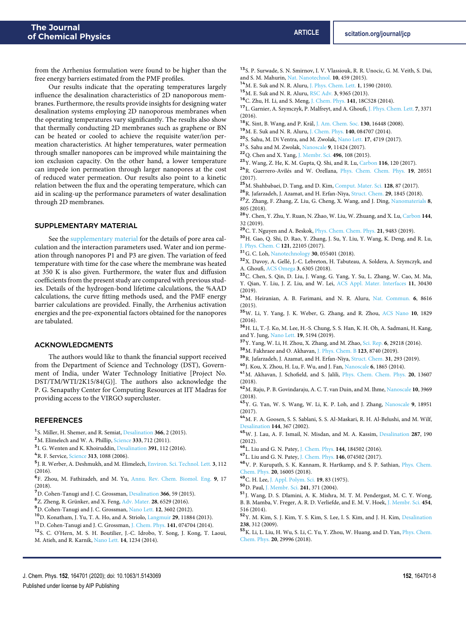from the Arrhenius formulation were found to be higher than the free energy barriers estimated from the PMF profiles.

Our results indicate that the operating temperatures largely influence the desalination characteristics of 2D nanoporous membranes. Furthermore, the results provide insights for designing water desalination systems employing 2D nanoporous membranes when the operating temperatures vary significantly. The results also show that thermally conducting 2D membranes such as graphene or BN can be heated or cooled to achieve the requisite water/ion permeation characteristics. At higher temperatures, water permeation through smaller nanopores can be improved while maintaining the ion exclusion capacity. On the other hand, a lower temperature can impede ion permeation through larger nanopores at the cost of reduced water permeation. Our results also point to a kinetic relation between the flux and the operating temperature, which can aid in scaling-up the performance parameters of water desalination through 2D membranes.

#### SUPPLEMENTARY MATERIAL

See the supplementary material for the details of pore area calculation and the interaction parameters used. Water and ion permeation through nanopores P1 and P3 are given. The variation of feed temperature with time for the case where the membrane was heated at 350 K is also given. Furthermore, the water flux and diffusion coefficients from the present study are compared with previous studies. Details of the hydrogen-bond lifetime calculations, the %AAD calculations, the curve fitting methods used, and the PMF energy barrier calculations are provided. Finally, the Arrhenius activation energies and the pre-exponential factors obtained for the nanopores are tabulated.

## ACKNOWLEDGMENTS

The authors would like to thank the financial support received from the Department of Science and Technology (DST), Government of India, under Water Technology Initiative [Project No. DST/TM/WTI/2K15/84(G)]. The authors also acknowledge the P. G. Senapathy Center for Computing Resources at IIT Madras for providing access to the VIRGO supercluster.

#### **REFERENCES**

<sup>1</sup> S. Miller, H. Shemer, and R. Semiat, Desalination 366, 2 (2015).

<sup>2</sup>M. Elimelech and W. A. Phillip, Science **333**, 712 (2011).

- 3 I. G. Wenten and K. Khoiruddin, Desalination **391**, 112 (2016).
- <sup>4</sup>R. F. Service, Science **313**, 1088 (2006).
- 5 J. R. Werber, A. Deshmukh, and M. Elimelech, Environ. Sci. Technol. Lett. **3**, 112  $(2016)$

6 F. Zhou, M. Fathizadeh, and M. Yu, Annu. Rev. Chem. Biomol. Eng. **9**, 17 (2018).

- <sup>7</sup>D. Cohen-Tanugi and J. C. Grossman, Desalination **366**, 59 (2015).
- <sup>8</sup>Z. Zheng, R. Grünker, and X. Feng, Adv. Mater. **28**, 6529 (2016).
- <sup>9</sup>D. Cohen-Tanugi and J. C. Grossman, Nano Lett. **12**, 3602 (2012).
- <sup>10</sup>D. Konatham, J. Yu, T. A. Ho, and A. Striolo, Langmuir **29**, 11884 (2013).
- <sup>11</sup>D. Cohen-Tanugi and J. C. Grossman, J. Chem. Phys. **141**, 074704 (2014).
- <sup>12</sup>S. C. O'Hern, M. S. H. Boutilier, J.-C. Idrobo, Y. Song, J. Kong, T. Laoui, M. Atieh, and R. Karnik, Nano Lett. **14**, 1234 (2014).
- <sup>14</sup>M. E. Suk and N. R. Aluru, J. Phys. Chem. Lett. **1**, 1590 (2010).
- <sup>15</sup>M. E. Suk and N. R. Aluru, RSC Adv. **3**, 9365 (2013).
- <sup>16</sup>C. Zhu, H. Li, and S. Meng, J. Chem. Phys. **141**, 18C528 (2014).
- <sup>17</sup>L. Garnier, A. Szymczyk, P. Malfreyt, and A. Ghoufi, J. Phys. Chem. Lett. **7**, 3371 (2016).
- <sup>18</sup>K. Sint, B. Wang, and P. Král, J. Am. Chem. Soc. **130**, 16448 (2008).
- <sup>19</sup>M. E. Suk and N. R. Aluru, J. Chem. Phys. **140**, 084707 (2014).
- <sup>20</sup>S. Sahu, M. Di Ventra, and M. Zwolak, Nano Lett. **17**, 4719 (2017).
- <sup>21</sup>S. Sahu and M. Zwolak, Nanoscale **9**, 11424 (2017).
- <sup>22</sup>Q. Chen and X. Yang, J. Membr. Sci. **496**, 108 (2015).
- <sup>23</sup>Y. Wang, Z. He, K. M. Gupta, Q. Shi, and R. Lu, Carbon **116**, 120 (2017).
- <sup>24</sup>R. Guerrero-Avilés and W. Orellana, Phys. Chem. Chem. Phys. **19**, 20551 (2017).
- <sup>25</sup>M. Shahbabaei, D. Tang, and D. Kim, Comput. Mater. Sci. **128**, 87 (2017).
- <sup>26</sup>R. Jafarzadeh, J. Azamat, and H. Erfan-Niya, Struct. Chem. **29**, 1845 (2018).
- <sup>27</sup>Z. Zhang, F. Zhang, Z. Liu, G. Cheng, X. Wang, and J. Ding, Nanomaterials **8**, 805 (2018).
- <sup>28</sup>Y. Chen, Y. Zhu, Y. Ruan, N. Zhao, W. Liu, W. Zhuang, and X. Lu, Carbon **144**, 32 (2019).
- <sup>29</sup>C. T. Nguyen and A. Beskok, Phys. Chem. Chem. Phys. **21**, 9483 (2019).
- <sup>30</sup>H. Gao, Q. Shi, D. Rao, Y. Zhang, J. Su, Y. Liu, Y. Wang, K. Deng, and R. Lu, J. Phys. Chem. C **121**, 22105 (2017).
- <sup>31</sup>G. C. Loh, Nanotechnology **30**, 055401 (2018).
- <sup>32</sup>X. Davoy, A. Gellé, J.-C. Lebreton, H. Tabuteau, A. Soldera, A. Szymczyk, and A. Ghoufi, ACS Omega **3**, 6305 (2018).
- <sup>33</sup>C. Chen, S. Qin, D. Liu, J. Wang, G. Yang, Y. Su, L. Zhang, W. Cao, M. Ma, Y. Qian, Y. Liu, J. Z. Liu, and W. Lei, ACS Appl. Mater. Interfaces **11**, 30430 (2019).
- <sup>34</sup>M. Heiranian, A. B. Farimani, and N. R. Aluru, Nat. Commun. **6**, 8616 (2015).
- <sup>35</sup>W. Li, Y. Yang, J. K. Weber, G. Zhang, and R. Zhou, ACS Nano **10**, 1829 (2016).
- <sup>36</sup>H. Li, T.-J. Ko, M. Lee, H.-S. Chung, S. S. Han, K. H. Oh, A. Sadmani, H. Kang, and Y. Jung, Nano Lett. **19**, 5194 (2019).
- <sup>37</sup>Y. Yang, W. Li, H. Zhou, X. Zhang, and M. Zhao, Sci. Rep. **6**, 29218 (2016).
- <sup>38</sup>M. Fakhraee and O. Akhavan, J. Phys. Chem. B **123**, 8740 (2019).
- <sup>39</sup>R. Jafarzadeh, J. Azamat, and H. Erfan-Niya, Struct. Chem. **31**, 293 (2019).
- <sup>40</sup>J. Kou, X. Zhou, H. Lu, F. Wu, and J. Fan, Nanoscale **6**, 1865 (2014).
- <sup>41</sup>M. Akhavan, J. Schofield, and S. Jalili, Phys. Chem. Chem. Phys. **20**, 13607 (2018).
- <sup>42</sup>M. Raju, P. B. Govindaraju, A. C. T. van Duin, and M. Ihme, Nanoscale **10**, 3969 (2018).
- <sup>43</sup>Y. G. Yan, W. S. Wang, W. Li, K. P. Loh, and J. Zhang, Nanoscale **9**, 18951 (2017).
- <sup>44</sup>M. F. A. Goosen, S. S. Sablani, S. S. Al-Maskari, R. H. Al-Belushi, and M. Wilf, Desalination **144**, 367 (2002).
- <sup>45</sup>W. J. Lau, A. F. Ismail, N. Misdan, and M. A. Kassim, Desalination **287**, 190 (2012).
- <sup>46</sup>L. Liu and G. N. Patey, J. Chem. Phys. **144**, 184502 (2016).
- <sup>47</sup>L. Liu and G. N. Patey, J. Chem. Phys. **146**, 074502 (2017).
- <sup>48</sup>V. P. Kurupath, S. K. Kannam, R. Hartkamp, and S. P. Sathian, Phys. Chem. Chem. Phys. **20**, 16005 (2018).
- <sup>49</sup>C. H. Lee, J. Appl. Polym. Sci. **19**, 83 (1975).
- <sup>50</sup>D. Paul, J. Membr. Sci. **241**, 371 (2004).
- <sup>51</sup>J. Wang, D. S. Dlamini, A. K. Mishra, M. T. M. Pendergast, M. C. Y. Wong, B. B. Mamba, V. Freger, A. R. D. Verliefde, and E. M. V. Hoek, J. Membr. Sci. **454**, 516 (2014).
- <sup>52</sup>Y. M. Kim, S. J. Kim, Y. S. Kim, S. Lee, I. S. Kim, and J. H. Kim, Desalination **238**, 312 (2009).
- <sup>53</sup>K. Li, L. Liu, H. Wu, S. Li, C. Yu, Y. Zhou, W. Huang, and D. Yan, Phys. Chem. Chem. Phys. **20**, 29996 (2018).

<sup>13</sup>S. P. Surwade, S. N. Smirnov, I. V. Vlassiouk, R. R. Unocic, G. M. Veith, S. Dai, and S. M. Mahurin, Nat. Nanotechnol. **10**, 459 (2015).